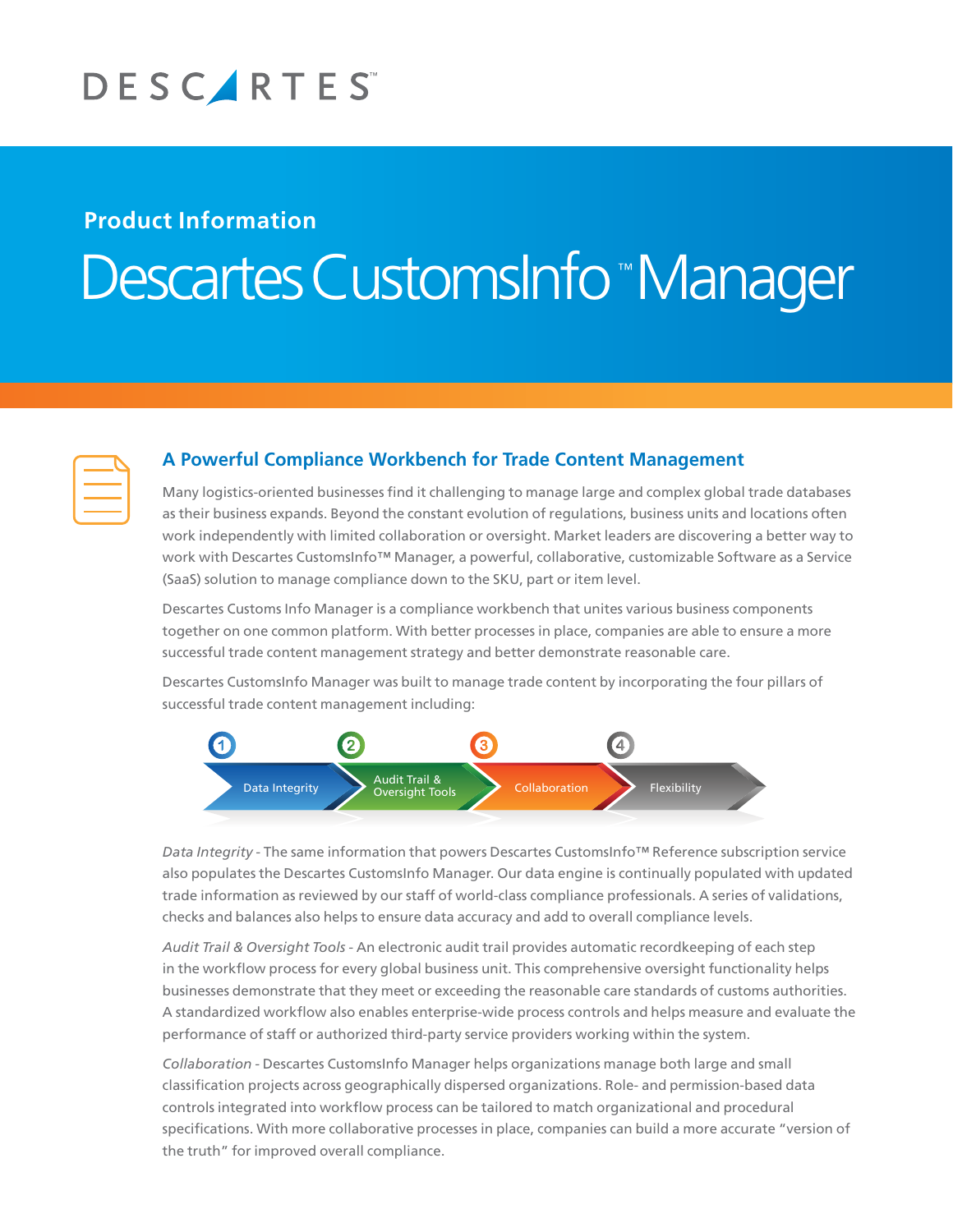

## **Product Information**

# ™ Descartes CustomsInfo<sup>®</sup>Manager

| $\mathcal{L}^{\text{max}}_{\text{max}}$ and $\mathcal{L}^{\text{max}}_{\text{max}}$ and $\mathcal{L}^{\text{max}}_{\text{max}}$ |  |
|---------------------------------------------------------------------------------------------------------------------------------|--|
|                                                                                                                                 |  |
| <b>Contract Contract Contract Contract Contract Contract Contract Contract Contract Contract Contract Contract Co</b>           |  |

### **A Powerful Compliance Workbench for Trade Content Management**

Many logistics-oriented businesses find it challenging to manage large and complex global trade databases as their business expands. Beyond the constant evolution of regulations, business units and locations often work independently with limited collaboration or oversight. Market leaders are discovering a better way to work with Descartes CustomsInfo™ Manager, a powerful, collaborative, customizable Software as a Service (SaaS) solution to manage compliance down to the SKU, part or item level.

Descartes Customs Info Manager is a compliance workbench that unites various business components together on one common platform. With better processes in place, companies are able to ensure a more successful trade content management strategy and better demonstrate reasonable care.

Descartes CustomsInfo Manager was built to manage trade content by incorporating the four pillars of successful trade content management including:



*Data Integrity -* The same information that powers Descartes CustomsInfo™ Reference subscription service also populates the Descartes CustomsInfo Manager. Our data engine is continually populated with updated trade information as reviewed by our staff of world-class compliance professionals. A series of validations, checks and balances also helps to ensure data accuracy and add to overall compliance levels.

*Audit Trail & Oversight Tools -* An electronic audit trail provides automatic recordkeeping of each step in the workflow process for every global business unit. This comprehensive oversight functionality helps businesses demonstrate that they meet or exceeding the reasonable care standards of customs authorities. A standardized workflow also enables enterprise-wide process controls and helps measure and evaluate the performance of staff or authorized third-party service providers working within the system.

*Collaboration -* Descartes CustomsInfo Manager helps organizations manage both large and small classification projects across geographically dispersed organizations. Role- and permission-based data controls integrated into workflow process can be tailored to match organizational and procedural specifications. With more collaborative processes in place, companies can build a more accurate "version of the truth" for improved overall compliance.